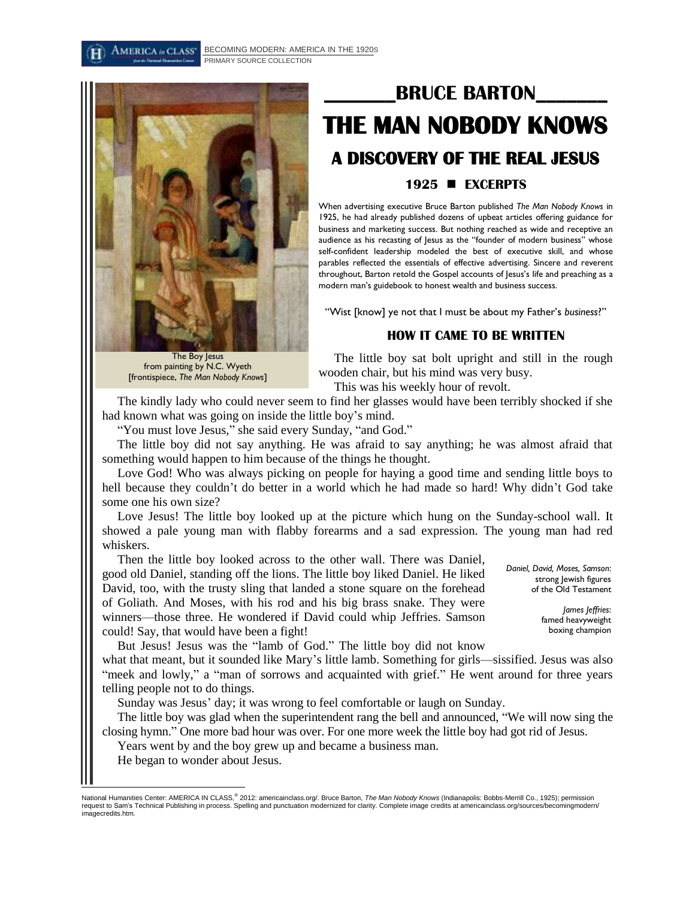[BECOMING MODERN: AMERICA IN THE 1920](http://americainclass.org/sources/becomingmodern/)S AMERICA & CLASS" PRIMARY SOURCE COLLECTION



# **\_\_\_\_\_\_\_BRUCE BARTON\_\_\_\_\_\_\_ THE MAN NOBODY KNOWS A DISCOVERY OF THE REAL JESUS**

#### **1925 EXCERPTS**

When advertising executive Bruce Barton published *The Man Nobody Knows* in 1925, he had already published dozens of upbeat articles offering guidance for business and marketing success. But nothing reached as wide and receptive an audience as his recasting of Jesus as the "founder of modern business" whose self-confident leadership modeled the best of executive skill, and whose parables reflected the essentials of effective advertising. Sincere and reverent throughout, Barton retold the Gospel accounts of Jesus's life and preaching as a modern man's guidebook to honest wealth and business success.

"Wist [know] ye not that I must be about my Father's *business*?"

#### **HOW IT CAME TO BE WRITTEN**

The Boy Jesus from painting by N.C. Wyeth [frontispiece, *The Man Nobody Knows*]

The little boy sat bolt upright and still in the rough wooden chair, but his mind was very busy.

This was his weekly hour of revolt.

The kindly lady who could never seem to find her glasses would have been terribly shocked if she had known what was going on inside the little boy's mind.

"You must love Jesus," she said every Sunday, "and God."

The little boy did not say anything. He was afraid to say anything; he was almost afraid that something would happen to him because of the things he thought.

Love God! Who was always picking on people for haying a good time and sending little boys to hell because they couldn't do better in a world which he had made so hard! Why didn't God take some one his own size?

Love Jesus! The little boy looked up at the picture which hung on the Sunday-school wall. It showed a pale young man with flabby forearms and a sad expression. The young man had red whiskers.

Then the little boy looked across to the other wall. There was Daniel, good old Daniel, standing off the lions. The little boy liked Daniel. He liked David, too, with the trusty sling that landed a stone square on the forehead of Goliath. And Moses, with his rod and his big brass snake. They were winners—those three. He wondered if David could whip Jeffries. Samson could! Say, that would have been a fight!

*Daniel, David, Moses, Samson*: strong Jewish figures of the Old Testament

> *James Jeffries*: famed heavyweight boxing champion

But Jesus! Jesus was the "lamb of God." The little boy did not know

what that meant, but it sounded like Mary's little lamb. Something for girls—sissified. Jesus was also "meek and lowly," a "man of sorrows and acquainted with grief." He went around for three years telling people not to do things.

Sunday was Jesus' day; it was wrong to feel comfortable or laugh on Sunday.

The little boy was glad when the superintendent rang the bell and announced, "We will now sing the closing hymn." One more bad hour was over. For one more week the little boy had got rid of Jesus.

Years went by and the boy grew up and became a business man.

He began to wonder about Jesus.

<sup>&</sup>lt;u>IIII</u><br>National Humanities Center: AMERICA IN CLASS,® 2012: americainclass.org/. Bruce Barton, *The Man Nobody Knows* (Indianapolis: Bobbs-Merrill Co., 1925); permission request to Sam's Technical Publishing in process. Spelling and punctuation modernized for clarity. Complete image credits at americainclass.org/sources/becomingmodern/ imagecredits.htm.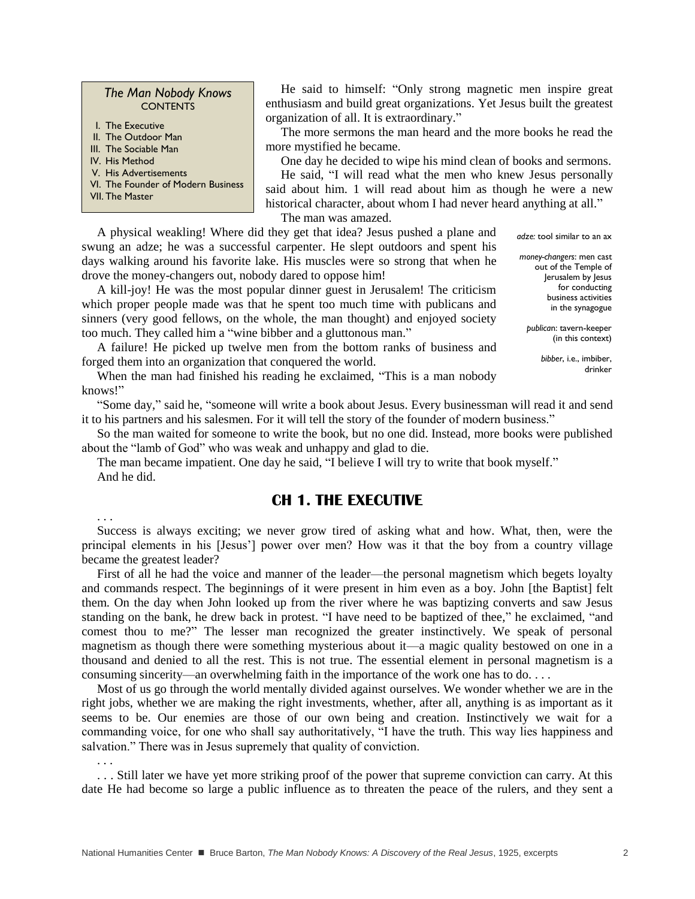#### *The Man Nobody Knows* CONTENTS

- I. The Executive
- II. The Outdoor Man
- III. The Sociable Man
- IV. His Method
- V. His Advertisements
- VI. The Founder of Modern Business
- VII. The Master

. . .

. . .

He said to himself: "Only strong magnetic men inspire great enthusiasm and build great organizations. Yet Jesus built the greatest organization of all. It is extraordinary."

The more sermons the man heard and the more books he read the more mystified he became.

One day he decided to wipe his mind clean of books and sermons. He said, "I will read what the men who knew Jesus personally said about him. 1 will read about him as though he were a new historical character, about whom I had never heard anything at all."

The man was amazed.

A physical weakling! Where did they get that idea? Jesus pushed a plane and swung an adze; he was a successful carpenter. He slept outdoors and spent his days walking around his favorite lake. His muscles were so strong that when he drove the money-changers out, nobody dared to oppose him!

A kill-joy! He was the most popular dinner guest in Jerusalem! The criticism which proper people made was that he spent too much time with publicans and sinners (very good fellows, on the whole, the man thought) and enjoyed society too much. They called him a "wine bibber and a gluttonous man."

A failure! He picked up twelve men from the bottom ranks of business and forged them into an organization that conquered the world.

When the man had finished his reading he exclaimed, "This is a man nobody knows!"

"Some day," said he, "someone will write a book about Jesus. Every businessman will read it and send it to his partners and his salesmen. For it will tell the story of the founder of modern business."

So the man waited for someone to write the book, but no one did. Instead, more books were published about the "lamb of God" who was weak and unhappy and glad to die.

The man became impatient. One day he said, "I believe I will try to write that book myself." And he did.

# **CH 1. THE EXECUTIVE**

Success is always exciting; we never grow tired of asking what and how. What, then, were the principal elements in his [Jesus'] power over men? How was it that the boy from a country village became the greatest leader?

First of all he had the voice and manner of the leader—the personal magnetism which begets loyalty and commands respect. The beginnings of it were present in him even as a boy. John [the Baptist] felt them. On the day when John looked up from the river where he was baptizing converts and saw Jesus standing on the bank, he drew back in protest. "I have need to be baptized of thee," he exclaimed, "and comest thou to me?" The lesser man recognized the greater instinctively. We speak of personal magnetism as though there were something mysterious about it—a magic quality bestowed on one in a thousand and denied to all the rest. This is not true. The essential element in personal magnetism is a consuming sincerity—an overwhelming faith in the importance of the work one has to do. . . .

Most of us go through the world mentally divided against ourselves. We wonder whether we are in the right jobs, whether we are making the right investments, whether, after all, anything is as important as it seems to be. Our enemies are those of our own being and creation. Instinctively we wait for a commanding voice, for one who shall say authoritatively, "I have the truth. This way lies happiness and salvation." There was in Jesus supremely that quality of conviction.

. . . Still later we have yet more striking proof of the power that supreme conviction can carry. At this date He had become so large a public influence as to threaten the peace of the rulers, and they sent a

*money-changers*: men cast out of the Temple of Jerusalem by Jesus

*adze:* tool similar to an ax

for conducting business activities in the synagogue

*publica*n: tavern-keeper (in this context)

> *bibber*, i.e., imbiber, drinker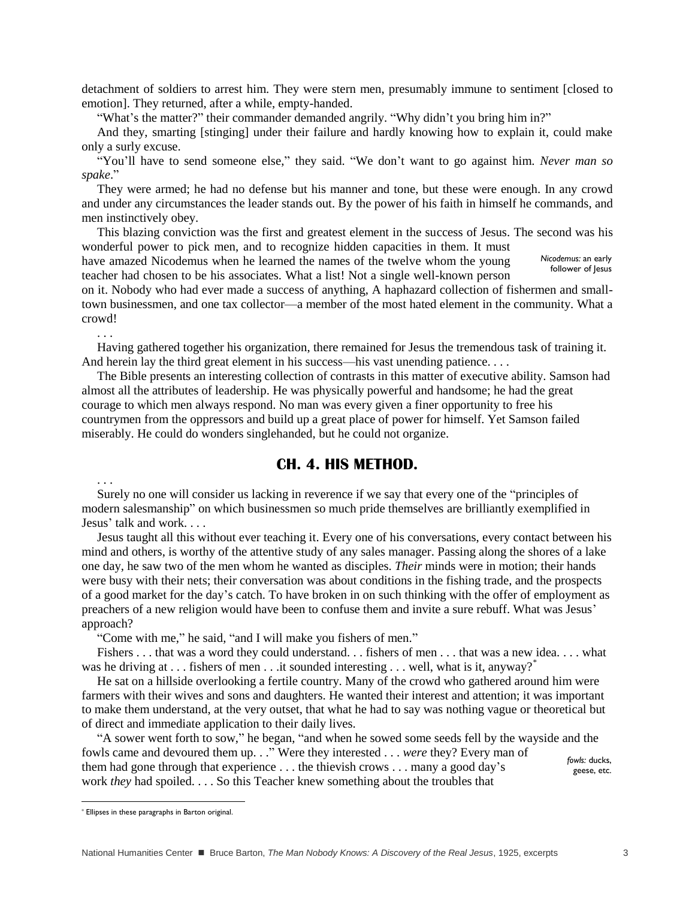detachment of soldiers to arrest him. They were stern men, presumably immune to sentiment [closed to emotion]. They returned, after a while, empty-handed.

"What's the matter?" their commander demanded angrily. "Why didn't you bring him in?"

And they, smarting [stinging] under their failure and hardly knowing how to explain it, could make only a surly excuse.

"You'll have to send someone else," they said. "We don't want to go against him. *Never man so spake*."

They were armed; he had no defense but his manner and tone, but these were enough. In any crowd and under any circumstances the leader stands out. By the power of his faith in himself he commands, and men instinctively obey.

This blazing conviction was the first and greatest element in the success of Jesus. The second was his wonderful power to pick men, and to recognize hidden capacities in them. It must

have amazed Nicodemus when he learned the names of the twelve whom the young teacher had chosen to be his associates. What a list! Not a single well-known person *Nicodemus:* an early follower of Jesus

on it. Nobody who had ever made a success of anything, A haphazard collection of fishermen and smalltown businessmen, and one tax collector—a member of the most hated element in the community. What a crowd!

Having gathered together his organization, there remained for Jesus the tremendous task of training it. And herein lay the third great element in his success—his vast unending patience. . . .

The Bible presents an interesting collection of contrasts in this matter of executive ability. Samson had almost all the attributes of leadership. He was physically powerful and handsome; he had the great courage to which men always respond. No man was every given a finer opportunity to free his countrymen from the oppressors and build up a great place of power for himself. Yet Samson failed miserably. He could do wonders singlehanded, but he could not organize.

## **CH. 4. HIS METHOD.**

. . .

. . .

Surely no one will consider us lacking in reverence if we say that every one of the "principles of modern salesmanship" on which businessmen so much pride themselves are brilliantly exemplified in Jesus' talk and work. . . .

Jesus taught all this without ever teaching it. Every one of his conversations, every contact between his mind and others, is worthy of the attentive study of any sales manager. Passing along the shores of a lake one day, he saw two of the men whom he wanted as disciples. *Their* minds were in motion; their hands were busy with their nets; their conversation was about conditions in the fishing trade, and the prospects of a good market for the day's catch. To have broken in on such thinking with the offer of employment as preachers of a new religion would have been to confuse them and invite a sure rebuff. What was Jesus' approach?

"Come with me," he said, "and I will make you fishers of men."

Fishers . . . that was a word they could understand. . . fishers of men . . . that was a new idea. . . . what was he driving at . . . fishers of men . . .it sounded interesting . . . well, what is it, anyway?<sup>\*</sup>

He sat on a hillside overlooking a fertile country. Many of the crowd who gathered around him were farmers with their wives and sons and daughters. He wanted their interest and attention; it was important to make them understand, at the very outset, that what he had to say was nothing vague or theoretical but of direct and immediate application to their daily lives.

"A sower went forth to sow," he began, "and when he sowed some seeds fell by the wayside and the fowls came and devoured them up. . ." Were they interested . . . *were* they? Every man of them had gone through that experience . . . the thievish crows . . . many a good day's work *they* had spoiled. . . . So this Teacher knew something about the troubles that *fowls:* ducks, geese, etc.

 $\overline{a}$ \* Ellipses in these paragraphs in Barton original.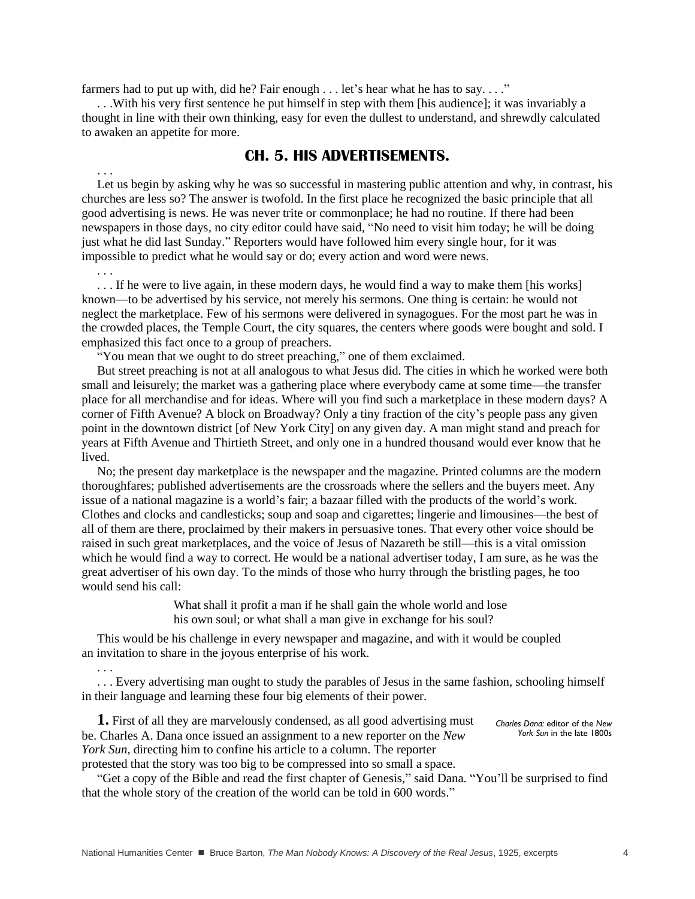farmers had to put up with, did he? Fair enough  $\dots$  let's hear what he has to say.  $\dots$ "

. . .

. . .

. . .With his very first sentence he put himself in step with them [his audience]; it was invariably a thought in line with their own thinking, easy for even the dullest to understand, and shrewdly calculated to awaken an appetite for more.

#### **CH. 5. HIS ADVERTISEMENTS.**

Let us begin by asking why he was so successful in mastering public attention and why, in contrast, his churches are less so? The answer is twofold. In the first place he recognized the basic principle that all good advertising is news. He was never trite or commonplace; he had no routine. If there had been newspapers in those days, no city editor could have said, "No need to visit him today; he will be doing just what he did last Sunday." Reporters would have followed him every single hour, for it was impossible to predict what he would say or do; every action and word were news.

. . . . . . If he were to live again, in these modern days, he would find a way to make them [his works] known—to be advertised by his service, not merely his sermons. One thing is certain: he would not neglect the marketplace. Few of his sermons were delivered in synagogues. For the most part he was in the crowded places, the Temple Court, the city squares, the centers where goods were bought and sold. I emphasized this fact once to a group of preachers.

"You mean that we ought to do street preaching," one of them exclaimed.

But street preaching is not at all analogous to what Jesus did. The cities in which he worked were both small and leisurely; the market was a gathering place where everybody came at some time—the transfer place for all merchandise and for ideas. Where will you find such a marketplace in these modern days? A corner of Fifth Avenue? A block on Broadway? Only a tiny fraction of the city's people pass any given point in the downtown district [of New York City] on any given day. A man might stand and preach for years at Fifth Avenue and Thirtieth Street, and only one in a hundred thousand would ever know that he lived.

No; the present day marketplace is the newspaper and the magazine. Printed columns are the modern thoroughfares; published advertisements are the crossroads where the sellers and the buyers meet. Any issue of a national magazine is a world's fair; a bazaar filled with the products of the world's work. Clothes and clocks and candlesticks; soup and soap and cigarettes; lingerie and limousines—the best of all of them are there, proclaimed by their makers in persuasive tones. That every other voice should be raised in such great marketplaces, and the voice of Jesus of Nazareth be still—this is a vital omission which he would find a way to correct. He would be a national advertiser today, I am sure, as he was the great advertiser of his own day. To the minds of those who hurry through the bristling pages, he too would send his call:

> What shall it profit a man if he shall gain the whole world and lose his own soul; or what shall a man give in exchange for his soul?

This would be his challenge in every newspaper and magazine, and with it would be coupled an invitation to share in the joyous enterprise of his work.

. . . Every advertising man ought to study the parables of Jesus in the same fashion, schooling himself in their language and learning these four big elements of their power.

**1.** First of all they are marvelously condensed, as all good advertising must be. Charles A. Dana once issued an assignment to a new reporter on the *New York Sun*, directing him to confine his article to a column. The reporter protested that the story was too big to be compressed into so small a space. *Charles Dana:* editor of the *New York Sun* in the late 1800s

"Get a copy of the Bible and read the first chapter of Genesis," said Dana. "You'll be surprised to find that the whole story of the creation of the world can be told in 600 words."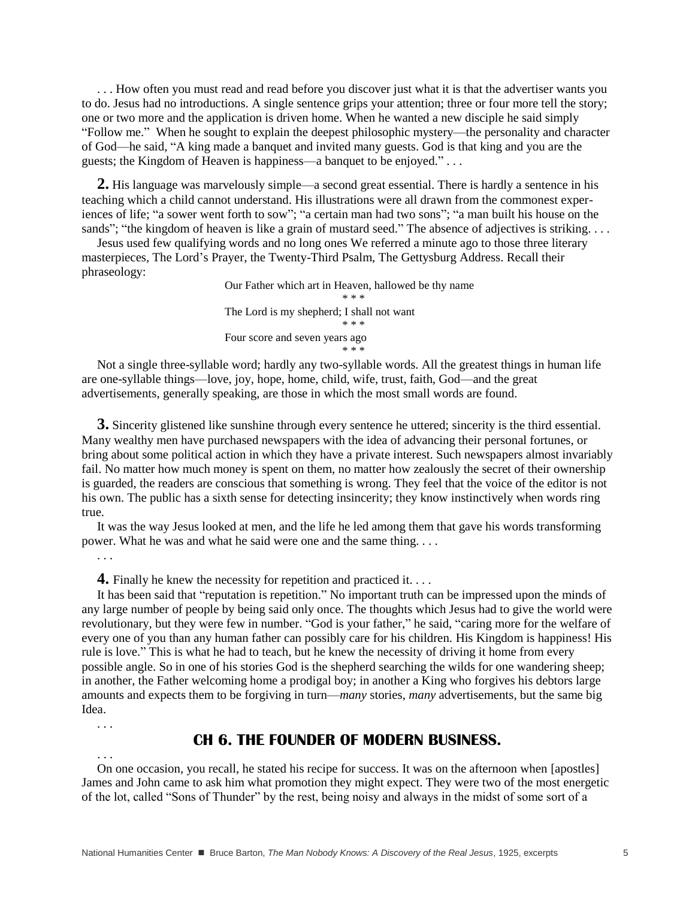. . . How often you must read and read before you discover just what it is that the advertiser wants you to do. Jesus had no introductions. A single sentence grips your attention; three or four more tell the story; one or two more and the application is driven home. When he wanted a new disciple he said simply "Follow me." When he sought to explain the deepest philosophic mystery—the personality and character of God—he said, "A king made a banquet and invited many guests. God is that king and you are the guests; the Kingdom of Heaven is happiness—a banquet to be enjoyed." . . .

**2.** His language was marvelously simple—a second great essential. There is hardly a sentence in his teaching which a child cannot understand. His illustrations were all drawn from the commonest experiences of life; "a sower went forth to sow"; "a certain man had two sons"; "a man built his house on the sands"; "the kingdom of heaven is like a grain of mustard seed." The absence of adjectives is striking. . . .

Jesus used few qualifying words and no long ones We referred a minute ago to those three literary masterpieces, The Lord's Prayer, the Twenty-Third Psalm, The Gettysburg Address. Recall their phraseology:

> Our Father which art in Heaven, hallowed be thy name \* \* \* The Lord is my shepherd; I shall not want \* \* \* Four score and seven years ago \* \* \*

Not a single three-syllable word; hardly any two-syllable words. All the greatest things in human life are one-syllable things—love, joy, hope, home, child, wife, trust, faith, God—and the great advertisements, generally speaking, are those in which the most small words are found.

**3.** Sincerity glistened like sunshine through every sentence he uttered; sincerity is the third essential. Many wealthy men have purchased newspapers with the idea of advancing their personal fortunes, or bring about some political action in which they have a private interest. Such newspapers almost invariably fail. No matter how much money is spent on them, no matter how zealously the secret of their ownership is guarded, the readers are conscious that something is wrong. They feel that the voice of the editor is not his own. The public has a sixth sense for detecting insincerity; they know instinctively when words ring true.

It was the way Jesus looked at men, and the life he led among them that gave his words transforming power. What he was and what he said were one and the same thing. . . .

. . .

. . .

. . .

**4.** Finally he knew the necessity for repetition and practiced it. . . .

It has been said that "reputation is repetition." No important truth can be impressed upon the minds of any large number of people by being said only once. The thoughts which Jesus had to give the world were revolutionary, but they were few in number. "God is your father," he said, "caring more for the welfare of every one of you than any human father can possibly care for his children. His Kingdom is happiness! His rule is love." This is what he had to teach, but he knew the necessity of driving it home from every possible angle. So in one of his stories God is the shepherd searching the wilds for one wandering sheep; in another, the Father welcoming home a prodigal boy; in another a King who forgives his debtors large amounts and expects them to be forgiving in turn—*many* stories, *many* advertisements, but the same big Idea.

## **CH 6. THE FOUNDER OF MODERN BUSINESS.**

On one occasion, you recall, he stated his recipe for success. It was on the afternoon when [apostles] James and John came to ask him what promotion they might expect. They were two of the most energetic of the lot, called "Sons of Thunder" by the rest, being noisy and always in the midst of some sort of a